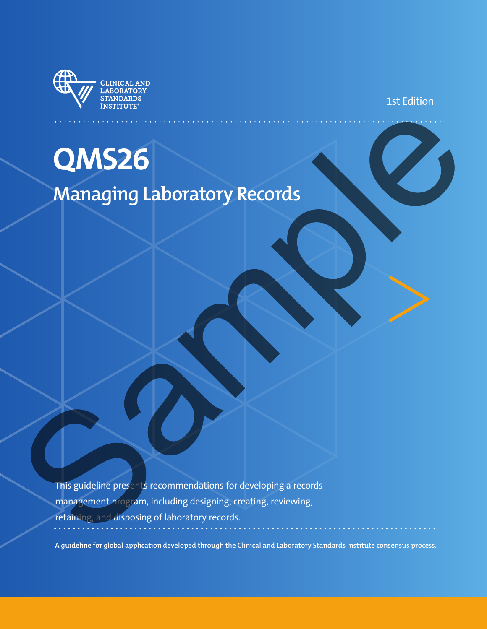

1st Edition

## **QMS26**

## **Managing Laboratory Records**

This guideline presents recommendations for developing a records management program, including designing, creating, reviewing, retaining, and disposing of laboratory records. **OMS26**<br>Managing Laboratory Records<br>In Saudeline per are economerations for developing a records<br>retains and deposing of laboratory records<br>retains and deposing of laboratory records.

**A guideline for global application developed through the Clinical and Laboratory Standards Institute consensus process.**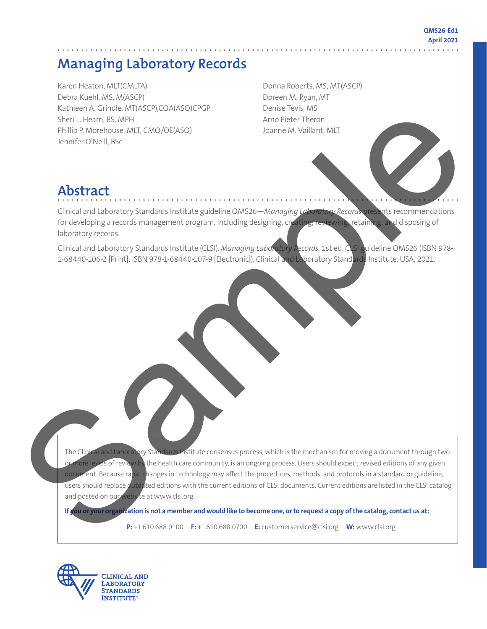#### **QMS26-Ed1 April 2021**

## **Managing Laboratory Records**

Karen Heaton, MLT(CMLTA) Debra Kuehl, MS, M(ASCP) Kathleen A. Grindle, MT(ASCP),CQA(ASQ)CPGP Sheri L. Hearn, BS, MPH Phillip P. Morehouse, MLT, CMQ/OE(ASQ) Jennifer O'Neill, BSc

Donna Roberts, MS, MT(ASCP) Doreen M. Ryan, MT Denise Tevis, MS Arno Pieter Theron Joanne M. Vaillant, MLT

## **Abstract**

Clinical and Laboratory Standards Institute guideline QMS26—*Managing Laboratory Records* presents recommendations for developing a records management program, including designing, creating, reviewing, retaining, and disposing of laboratory records.

Clinical and Laboratory Standards Institute (CLSI). *Managing Laboratory Records.* 1st ed. CLSI guideline QMS26 (ISBN 978- 1-68440-106-2 [Print]; ISBN 978-1-68440-107-9 [Electronic]). Clinical and Laboratory Standards Institute, USA, 2021.

The Clinical and Laboratory Standards Institute consensus process, which is the mechanism for moving a document through two or more levels of review by the health care community, is an ongoing process. Users should expect revised editions of any given document. Because rapid changes in technology may affect the procedures, methods, and protocols in a standard or guideline, users should replace outdated editions with the current editions of CLSI documents. Current editions are listed in the CLSI catalog and posted on our website at www.clsi.org. Studies A Control (Studies Collective)<br>
Sample Chemical Studies (Studies Collective)<br>
And December Chemical Studies (Studies Collective)<br>
And Chemical Studies (Studies Collective)<br>
Sample Chemical Studies (Studies Collecti

**If you or your organization is not a member and would like to become one, or to request a copy of the catalog, contact us at:**

**P:** +1.610.688.0100 **F:** +1.610.688.0700 **E:** customerservice@clsi.org **W:** www.clsi.org

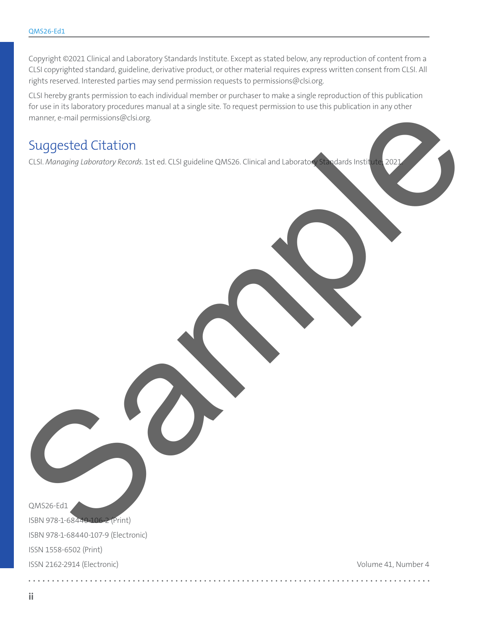Copyright ©2021 Clinical and Laboratory Standards Institute. Except as stated below, any reproduction of content from a CLSI copyrighted standard, guideline, derivative product, or other material requires express written consent from CLSI. All rights reserved. Interested parties may send permission requests to permissions@clsi.org.

CLSI hereby grants permission to each individual member or purchaser to make a single reproduction of this publication for use in its laboratory procedures manual at a single site. To request permission to use this publication in any other manner, e-mail permissions@clsi.org. Sources of the Content of the Content of Content of Content of Content of Content of Content of Content of Content of Content of Content of Content of Content of Content of Content of Content of Content of Content of Conte

## Suggested Citation

CLSI. *Managing Laboratory Records*. 1st ed. CLSI guideline QMS26. Clinical and Laboratory Standards Institute; 2021.

QMS26-Ed1

ISBN 978-1-68440-106-2 (Print) ISBN 978-1-68440-107-9 (Electronic) ISSN 1558-6502 (Print) ISSN 2162-2914 (Electronic)

Volume 41, Number 4

. . . . . . . . . . . . . .

 $2.2.2.2.2.2.2$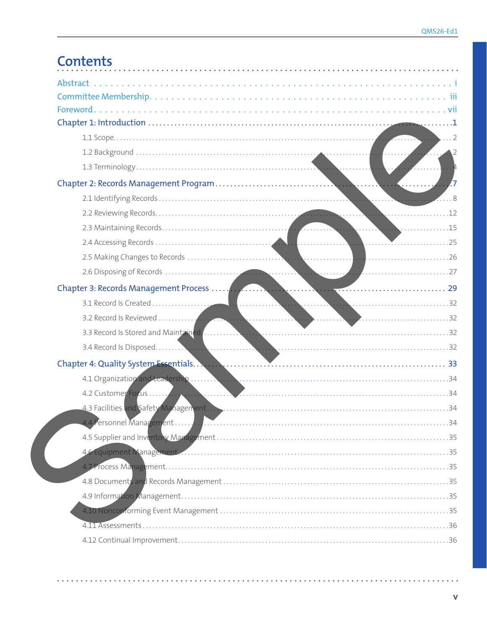| $\ldots$ 2                                                                               |
|------------------------------------------------------------------------------------------|
|                                                                                          |
|                                                                                          |
|                                                                                          |
|                                                                                          |
|                                                                                          |
|                                                                                          |
|                                                                                          |
|                                                                                          |
|                                                                                          |
|                                                                                          |
|                                                                                          |
|                                                                                          |
|                                                                                          |
|                                                                                          |
|                                                                                          |
|                                                                                          |
|                                                                                          |
|                                                                                          |
|                                                                                          |
|                                                                                          |
| 46 Equipment Management 2000 Communications and Communications and Communications and 35 |
|                                                                                          |
|                                                                                          |
|                                                                                          |
|                                                                                          |
|                                                                                          |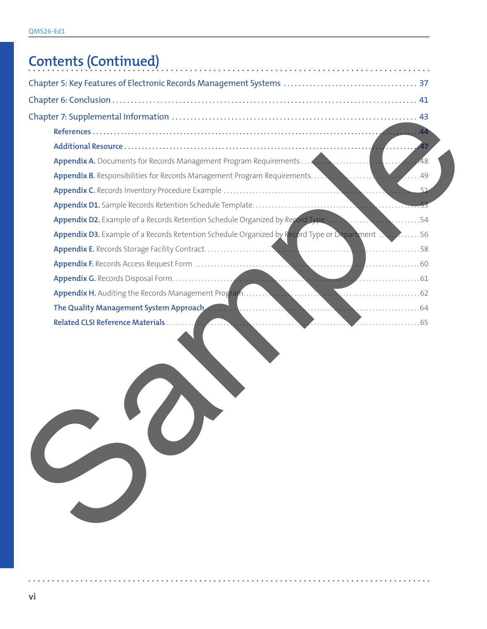## **Contents (Continued)**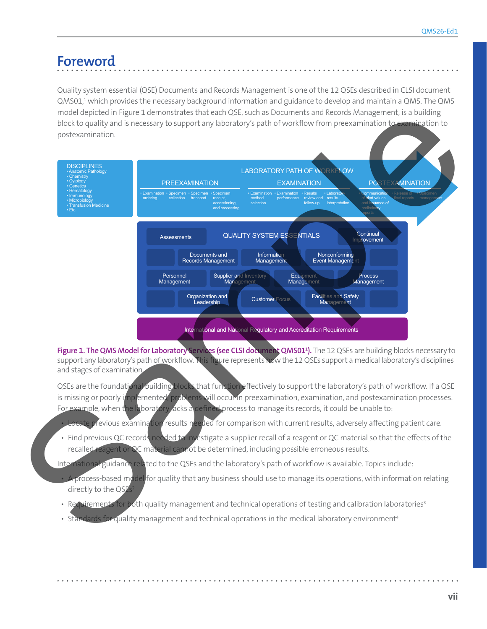## **Foreword**

Quality system essential (QSE) Documents and Records Management is one of the 12 QSEs described in CLSI document  $Q$ MS01, $^1$  which provides the necessary background information and guidance to develop and maintain a QMS. The QMS model depicted in Figure 1 demonstrates that each QSE, such as Documents and Records Management, is a building block to quality and is necessary to support any laboratory's path of workflow from preexamination to examination to postexamination.



**Figure 1. The QMS Model for Laboratory Services (see CLSI document QMS011 ).** The 12 QSEs are building blocks necessary to support any laboratory's path of workflow. This figure represents how the 12 QSEs support a medical laboratory's disciplines and stages of examination.

QSEs are the foundational building blocks that function effectively to support the laboratory's path of workflow. If a QSE is missing or poorly implemented, problems will occur in preexamination, examination, and postexamination processes. For example, when the laboratory lacks a defined process to manage its records, it could be unable to:

- revious examination results needed for comparison with current results, adversely affecting patient care.
- Find previous QC records needed to investigate a supplier recall of a reagent or QC material so that the effects of the recalled reagent or QC material cannot be determined, including possible erroneous results.

International guidance related to the QSEs and the laboratory's path of workflow is available. Topics include:

- process-based model for quality that any business should use to manage its operations, with information relating directly to the  $QSE$
- Requirements for both quality management and technical operations of testing and calibration laboratories<sup>3</sup>
- Standards for quality management and technical operations in the medical laboratory environment<sup>4</sup>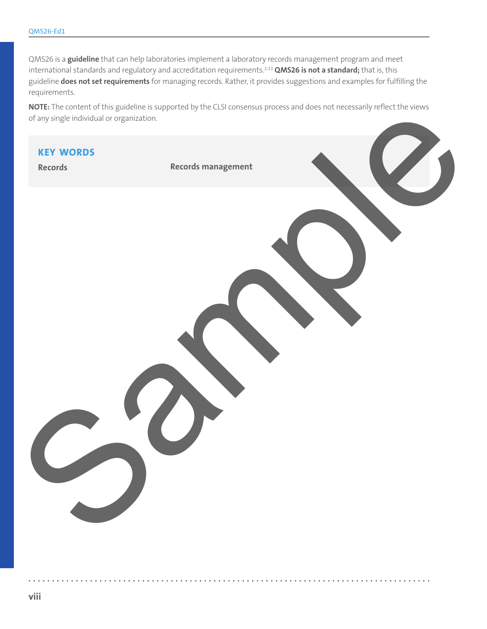QMS26 is a **guideline** that can help laboratories implement a laboratory records management program and meet international standards and regulatory and accreditation requirements.<sup>2-13</sup> QMS26 is not a standard; that is, this guideline **does not set requirements** for managing records. Rather, it provides suggestions and examples for fulfilling the requirements.

**NOTE:** The content of this guideline is supported by the CLSI consensus process and does not necessarily reflect the views of any single individual or organization.

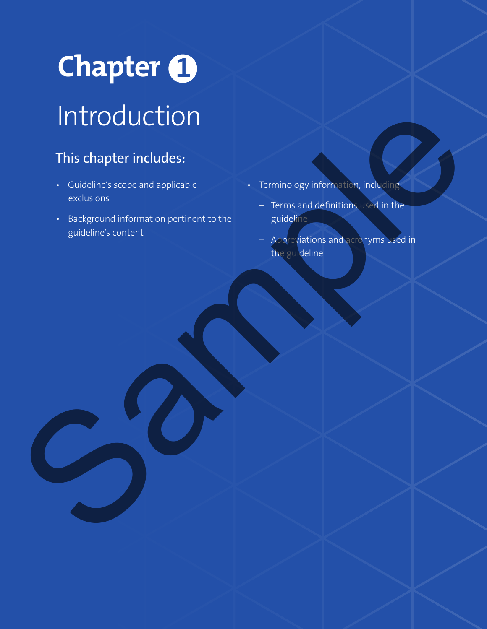# **Chapter** Introduction

## This chapter includes:

- Guideline's scope and applicable exclusions
- Background information pertinent to the guideline's content Sample
	- Terminology information, including:
		- Terms and definitions used in the guideline
		- Abbreviations and acronyms used in the guideline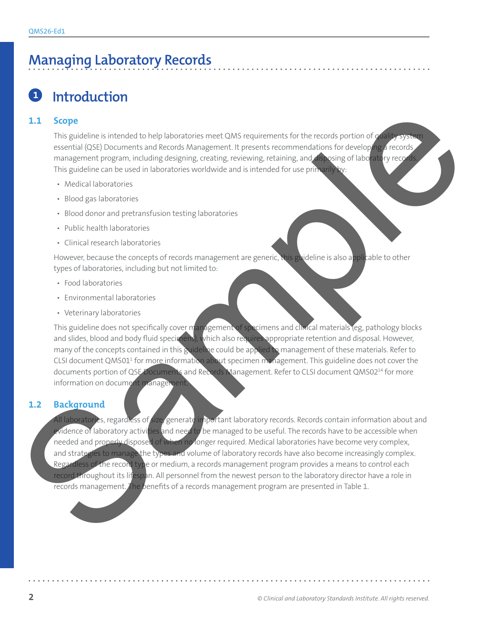## **Managing Laboratory Records**

## **<sup>1</sup> Introduction**

#### **1.1 Scope**

This guideline is intended to help laboratories meet QMS requirements for the records portion of quality system essential (QSE) Documents and Records Management. It presents recommendations for developing a records, management program, including designing, creating, reviewing, retaining, and disposing of laboratory records. This guideline can be used in laboratories worldwide and is intended for use primarily by:

- Medical laboratories
- Blood gas laboratories
- Blood donor and pretransfusion testing laboratories
- Public health laboratories
- Clinical research laboratories

However, because the concepts of records management are generic, this guideline is also applicable to other types of laboratories, including but not limited to:

- Food laboratories
- Environmental laboratories
- Veterinary laboratories

This guideline does not specifically cover management of specimens and clinical materials (eg, pathology blocks and slides, blood and body fluid specimens), which also requires appropriate retention and disposal. However, many of the concepts contained in this guideline could be applied to management of these materials. Refer to CLSI document QMS01<sup>1</sup> for mo<u>re i</u>nformation about specimen management. This guideline does not cover the documents portion of QSE Documents and Records Management. Refer to CLSI document QMS02<sup>14</sup> for more information on document management

#### **1.2 Background**

All laboratories, regardless of size, generate important laboratory records. Records contain information about and evidence of laboratory activities and need to be managed to be useful. The records have to be accessible when needed and properly disposed of when no longer required. Medical laboratories have become very complex, and strategies to manage the types and volume of laboratory records have also become increasingly complex. Regardless of the record type or medium, a records management program provides a means to control each record throughout its lifespan. All personnel from the newest person to the laboratory director have a role in records management. The benefits of a records management program are presented in Table 1. 1.1 Scope<br>
This probable interest that be platentaris met OMS requirements for the records particles<br>
meantial (29) Documents and Precision and Precision and Theoretics means are also means and the specified and the state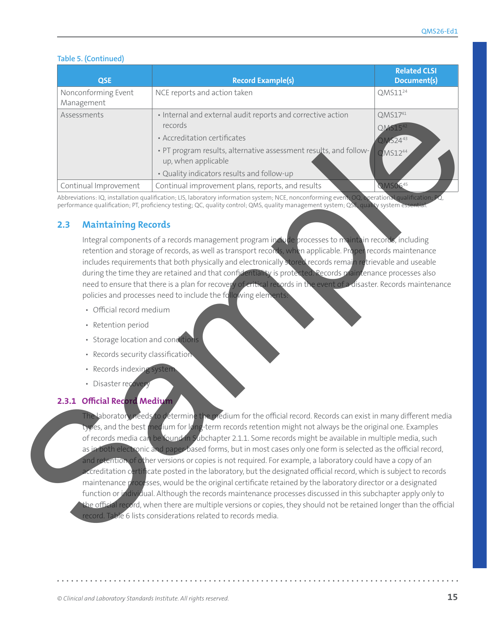#### **Table 5. (Continued)**

| <b>QSE</b>                        | <b>Record Example(s)</b>                                                                                                                                                                                                                         | <b>Related CLSI</b><br>Document(s)                       |
|-----------------------------------|--------------------------------------------------------------------------------------------------------------------------------------------------------------------------------------------------------------------------------------------------|----------------------------------------------------------|
| Nonconforming Event<br>Management | NCE reports and action taken                                                                                                                                                                                                                     | QMS11 <sup>24</sup>                                      |
| Assessments                       | • Internal and external audit reports and corrective action<br>records<br>• Accreditation certificates<br>• PT program results, alternative assessment results, and follow-<br>up, when applicable<br>· Quality indicators results and follow-up | QMS1741<br>QM515 <sup>4</sup><br>2MS2443<br>$QMS12^{44}$ |
| Continual Improvement             | Continual improvement plans, reports, and results                                                                                                                                                                                                | <b>QMS0645</b>                                           |

Abbreviations: IQ, installation qualification; LIS, laboratory information system; NCE, nonconforming event; OQ, operational qualification; PQ, performance qualification; PT, proficiency testing; QC, quality control; QMS, quality management system; QSE, quality system

#### **2.3 Maintaining Records**

Integral components of a records management program include processes to maintain records, including retention and storage of records, as well as transport records, when applicable. Proper records maintenance includes requirements that both physically and electronically stored records remain retrievable and useable during the time they are retained and that confidentiality is protected. Records maintenance processes also need to ensure that there is a plan for recovery of critical records in the event of a disaster. Records maintenance policies and processes need to include the following elements

- Official record medium
- Retention period
- Storage location and conditions
- Records security classification
- Records indexing syster
- Disaster recover

#### **2.3.1 Official Record Medium**

The laboratory needs to determine the medium for the official record. Records can exist in many different media es, and the best medium for long-term records retention might not always be the original one. Examples of records media can be **found in Subchapter 2.1.1.** Some records might be available in multiple media, such as in both electronic and paper-based forms, but in most cases only one form is selected as the official record, and retention of other versions or copies is not required. For example, a laboratory could have a copy of an i ccreditation certificate posted in the laboratory, but the designated official record, which is subject to records maintenance processes, would be the original certificate retained by the laboratory director or a designated function or individual. Although the records maintenance processes discussed in this subchapter apply only to the official record, when there are multiple versions or copies, they should not be retained longer than the official record. Table 6 lists considerations related to records media. Assessment)<br>
A recent through methods and the results and the results and the second term of the second term of the second control in the second control in the second control in the second control in the second control in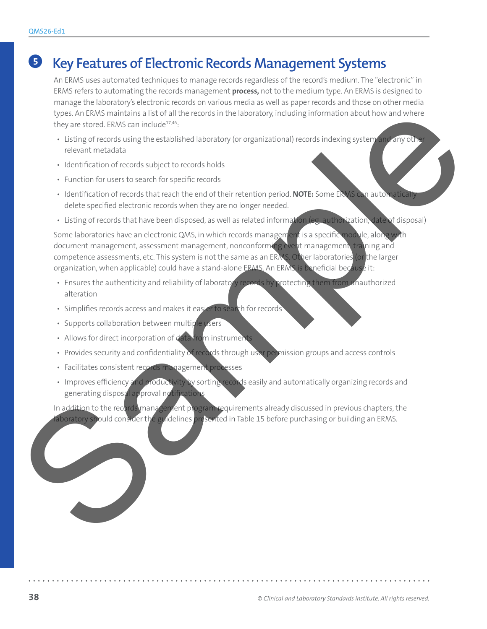## **<sup>51</sup> Key Features of Electronic Records Management Systems**

An ERMS uses automated techniques to manage records regardless of the record's medium. The "electronic" in ERMS refers to automating the records management **process,** not to the medium type. An ERMS is designed to manage the laboratory's electronic records on various media as well as paper records and those on other media types. An ERMS maintains a list of all the records in the laboratory, including information about how and where they are stored. ERMS can include<sup>17,46</sup>:

- Listing of records using the established laboratory (or organizational) records indexing system and any other relevant metadata
- Identification of records subject to records holds
- Function for users to search for specific records
- Identification of records that reach the end of their retention period. **NOTE:** Some ERMS can automatically delete specified electronic records when they are no longer needed.
- Listing of records that have been disposed, as well as related information (eg, authorization, date of disposal)

Some laboratories have an electronic QMS, in which records management is a specific module, along with document management, assessment management, nonconforming event management, training and competence assessments, etc. This system is not the same as an ERMS. Other laboratories (or the larger organization, when applicable) could have a stand-alone ERMS. An ERMS is beneficial because it: by the filter main that is did the the case is the laboratory in balance is a condition of the case of the case of the case of the case of the case of the case of the case of the case of the case of the case of the case of

- Ensures the authenticity and reliability of laboratory records by protecting them from unauthorized alteration
- Simplifies records access and makes it easier to search for records
- Supports collaboration between multiple users
- Allows for direct incorporation of data from instruments
- Provides security and confidentiality of records through user permission groups and access controls
- Facilitates consistent records management processes
- Improves efficiency and productivity by sorting records easily and automatically organizing records and generating disposal approval notifications

In addition to the records management program requirements already discussed in previous chapters, the aboratory should consider the guidelines presented in Table 15 before purchasing or building an ERMS.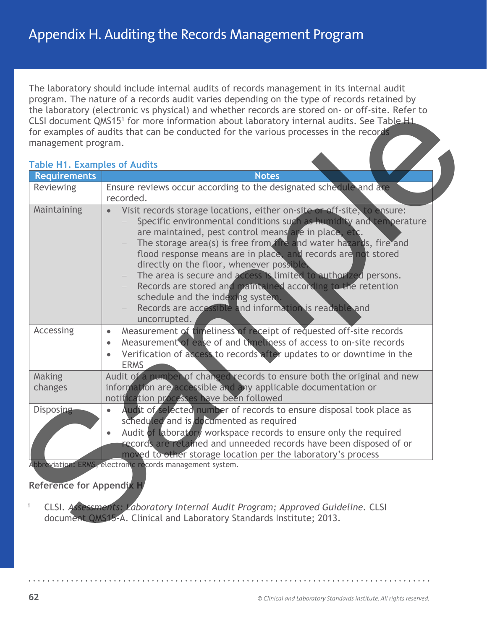**Appendix H. Auditing the Records Management Program** 

The laboratory should include internal audits of records management in its internal audit program. The nature of a records audit varies depending on the type of records retained by the laboratory (electronic vs physical) and whether records are stored on- or off-site. Refer to CLSI document QMS15<sup>1</sup> for more information about laboratory internal audits. See Table H1 for examples of audits that can be conducted for the various processes in the records management program.

#### **Table H1. Examples of Audits**

| <b>Requirements</b> | <b>Table H1. Examples of Audits</b><br><b>Notes</b>                                                                                                                                                                                                                                                                                                                                                                                                                                                                                                                                                                                                      |
|---------------------|----------------------------------------------------------------------------------------------------------------------------------------------------------------------------------------------------------------------------------------------------------------------------------------------------------------------------------------------------------------------------------------------------------------------------------------------------------------------------------------------------------------------------------------------------------------------------------------------------------------------------------------------------------|
| <b>Reviewing</b>    | Ensure reviews occur according to the designated schedule and are<br>recorded.                                                                                                                                                                                                                                                                                                                                                                                                                                                                                                                                                                           |
| Maintaining         | Visit records storage locations, either on-site or off-site, to ensure:<br>$\bullet$<br>Specific environmental conditions such as humidity and temperature<br>are maintained, pest control means are in place, etc.<br>The storage area(s) is free from fire and water hazards, fire and<br>flood response means are in place, and records are not stored<br>directly on the floor, whenever possible.<br>The area is secure and access is limited to authorized persons.<br>Records are stored and maintained according to the retention<br>schedule and the indexing system.<br>Records are accessible and information is readable and<br>uncorrupted. |
| Accessing           | Measurement of timeliness of receipt of requested off-site records<br>$\bullet$<br>Measurement of ease of and timeliness of access to on-site records<br>$\bullet$<br>Verification of access to records after updates to or downtime in the<br><b>ERMS</b>                                                                                                                                                                                                                                                                                                                                                                                               |
| Making<br>changes   | Audit of a number of changed records to ensure both the original and new<br>information are accessible and any applicable documentation or<br>notification processes have been followed                                                                                                                                                                                                                                                                                                                                                                                                                                                                  |
| <b>Disposing</b>    | Audit of selected number of records to ensure disposal took place as<br>$\bullet$<br>scheduled and is documented as required<br>Audit of laboratory workspace records to ensure only the required<br>records are retained and unneeded records have been disposed of or<br>moved to other storage location per the laboratory's process<br>Abbreviation: ERMS, electronic records management system.                                                                                                                                                                                                                                                     |
|                     | Reference for Appendix H                                                                                                                                                                                                                                                                                                                                                                                                                                                                                                                                                                                                                                 |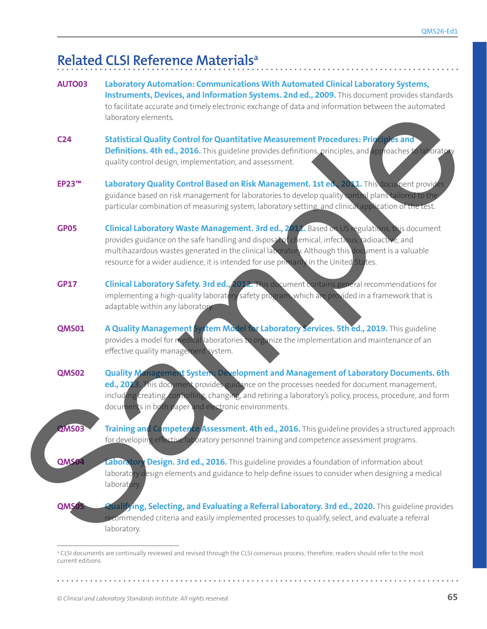## **Related CLSI Reference Materialsa**

|  | AUTO03          | Laboratory Automation: Communications With Automated Clinical Laboratory Systems,<br>Instruments, Devices, and Information Systems. 2nd ed., 2009. This document provides standards<br>to facilitate accurate and timely electronic exchange of data and information between the automated<br>laboratory elements.                                                                        |
|--|-----------------|-------------------------------------------------------------------------------------------------------------------------------------------------------------------------------------------------------------------------------------------------------------------------------------------------------------------------------------------------------------------------------------------|
|  | C <sub>24</sub> | Statistical Quality Control for Quantitative Measurement Procedures: Principles and<br><b>Definitions. 4th ed., 2016.</b> This guideline provides definitions, principles, and approaches to laboratory<br>quality control design, implementation, and assessment.                                                                                                                        |
|  | <b>EP23™</b>    | Laboratory Quality Control Based on Risk Management. 1st ed., 2011. This document provides<br>guidance based on risk management for laboratories to develop quality control plans tailored to the<br>particular combination of measuring system, laboratory setting, and clinical application of the test.                                                                                |
|  | <b>GP05</b>     | Clinical Laboratory Waste Management. 3rd ed., 2017. Based on US regulations, this document<br>provides guidance on the safe handling and disposal of chemical, infectious, radioactive, and<br>multihazardous wastes generated in the clinical laboratory. Although this document is a valuable<br>resource for a wider audience, it is intended for use primarily in the United States. |
|  | <b>GP17</b>     | <b>Clinical Laboratory Safety. 3rd ed., 2012. This document contains general recommendations for</b><br>implementing a high-quality laboratory safety program, which are provided in a framework that is<br>adaptable within any laboratory.                                                                                                                                              |
|  | <b>QMS01</b>    | A Quality Management System Model for Laboratory Services. 5th ed., 2019. This guideline<br>provides a model for medical aboratories to organize the implementation and maintenance of an<br>effective quality management system.                                                                                                                                                         |
|  | <b>QMS02</b>    | Quality Management System: Development and Management of Laboratory Documents. 6th<br>ed., 2013. This document provides guidance on the processes needed for document management,<br>including creating controlling, changing, and retiring a laboratory's policy, process, procedure, and form<br>documents in both paper and electronic environments.                                   |
|  | <b>QMS03</b>    | Training and Competence Assessment. 4th ed., 2016. This guideline provides a structured approach<br>for developing effective laboratory personnel training and competence assessment programs.                                                                                                                                                                                            |
|  | QMS04           | Laboratory Design. 3rd ed., 2016. This guideline provides a foundation of information about<br>laboratory design elements and guidance to help define issues to consider when designing a medical<br>laboratory.                                                                                                                                                                          |
|  | QMS05           | Qualifying, Selecting, and Evaluating a Referral Laboratory. 3rd ed., 2020. This guideline provides<br>recommended criteria and easily implemented processes to qualify, select, and evaluate a referral<br>laboratory.                                                                                                                                                                   |

a CLSI documents are continually reviewed and revised through the CLSI consensus process; therefore, readers should refer to the most current editions.

. . . . . . . . .

 $\mathbf{L}$  and  $\mathbf{L}$ 

 $\ddot{\bullet}$   $\ddot{\bullet}$ 

 $\sim$   $\sim$  $\ddot{\phantom{a}}$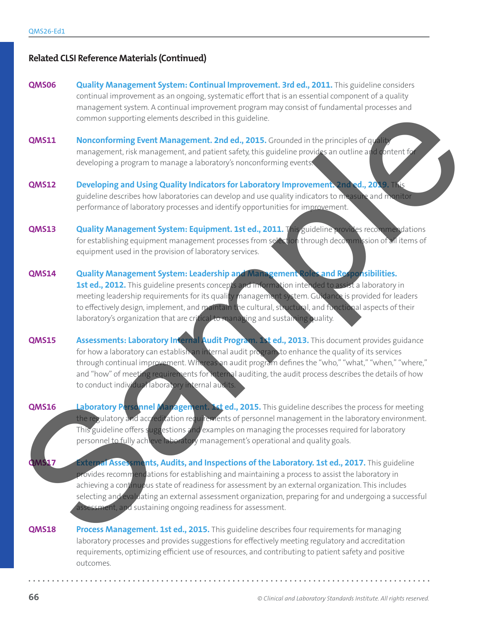#### **Related CLSI Reference Materials (Continued)**

- **QMS06 Quality Management System: Continual Improvement. 3rd ed., 2011.** This guideline considers continual improvement as an ongoing, systematic effort that is an essential component of a quality management system. A continual improvement program may consist of fundamental processes and common supporting elements described in this guideline.
- **QMS11 Nonconforming Event Management. 2nd ed., 2015.** Grounded in the principles of quality management, risk management, and patient safety, this guideline provides an outline and content for developing a program to manage a laboratory's nonconforming events.
- **QMS12 Developing and Using Quality Indicators for Laboratory Improvement. 2nd ed., 2019.** This guideline describes how laboratories can develop and use quality indicators to measure and monitor performance of laboratory processes and identify opportunities for improvement.
- **QMS13 Quality Management System: Equipment. 1st ed., 2011.** This guideline provides recommendations for establishing equipment management processes from selection through decommission of all items of equipment used in the provision of laboratory services.
- **QMS14 Quality Management System: Leadership and Management Roles and Responsibilities.**  1st ed., 2012. This guideline presents concepts and information intended to assist a laboratory in meeting leadership requirements for its quality management system. Guidance is provided for leaders to effectively design, implement, and maintain the cultural, structural, and functional aspects of their laboratory's organization that are critical to managing and sustaining quality.
- **QMS15 Assessments: Laboratory Internal Audit Program. 1st ed., 2013.** This document provides guidance for how a laboratory can establish an internal audit program to enhance the quality of its services through continual improvement. Whereas an audit program defines the "who," "what," "when," "where," and "how" of meeting requirements for internal auditing, the audit process describes the details of how to conduct individual laboratory internal audits.
- **QMS16 Laboratory Personnel Management. Ist ed., 2015.** This guideline describes the process for meeting the regulatory and accreditation requirements of personnel management in the laboratory environment. This guideline offers suggestions and examples on managing the processes required for laboratory personnel to fully achieve laboratory management's operational and quality goals.
- **External Assessments, Audits, and Inspections of the Laboratory. 1st ed., 2017. This guideline** provides recommendations for establishing and maintaining a process to assist the laboratory in achieving a continuous state of readiness for assessment by an external organization. This includes selecting and evaluating an external assessment organization, preparing for and undergoing a successful assessment, and sustaining ongoing readiness for assessment. Enter the Auditor Management Zarat (Management Zarat (Management Zarat (Management Zarat (Management Zarat (Management Zarat (Management Zarat (Management Zarat (Management Zarat (Management Zarat (Management Zarat (Manage
	- **QMS18 Process Management. 1st ed., 2015.** This guideline describes four requirements for managing laboratory processes and provides suggestions for effectively meeting regulatory and accreditation requirements, optimizing efficient use of resources, and contributing to patient safety and positive outcomes.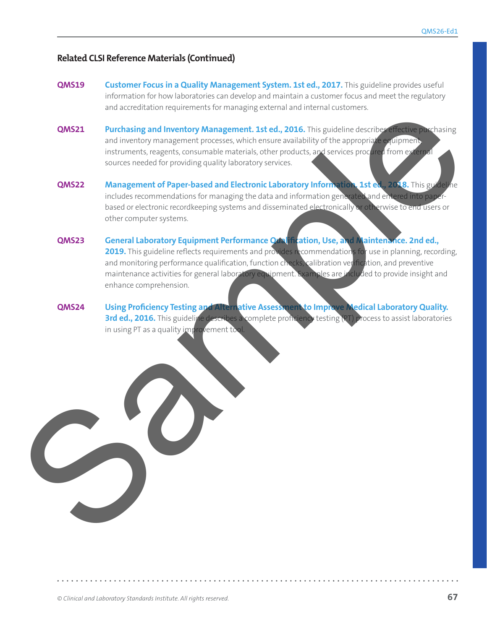#### **Related CLSI Reference Materials (Continued)**

- **QMS19 Customer Focus in a Quality Management System. 1st ed., 2017. This guideline provides useful** information for how laboratories can develop and maintain a customer focus and meet the regulatory and accreditation requirements for managing external and internal customers.
- **QMS21** Purchasing and Inventory Management. 1st ed., 2016. This guideline describes effective purchasing and inventory management processes, which ensure availability of the appropriate equipment, instruments, reagents, consumable materials, other products, and services procured from external sources needed for providing quality laboratory services.
- **QMS22 Management of Paper-based and Electronic Laboratory Information. 1st ed., 2018.** This guideline includes recommendations for managing the data and information generated and entered into paperbased or electronic recordkeeping systems and disseminated electronically or otherwise to end users or other computer systems.
- **QMS23 General Laboratory Equipment Performance Qualification, Use, and Maintenance. 2nd ed.,**  2019. This guideline reflects requirements and provides recommendations for use in planning, recording, and monitoring performance qualification, function checks, calibration verification, and preventive maintenance activities for general laboratory equipment. Examples are included to provide insight and enhance comprehension. MAS21<br>
Putchasing and Inventory Management. 1st ed., 2016. The green description of the control in the stress of the problem of the control in the control in the stress of the control in the control in the control in the c
	- **QMS24 Using Proficiency Testing and Alternative Assessment to Improve Medical Laboratory Quality. 3rd ed., 2016.** This guideline describes a complete proficiency testing (PT) process to assist laboratories in using PT as a quality improvement tool.